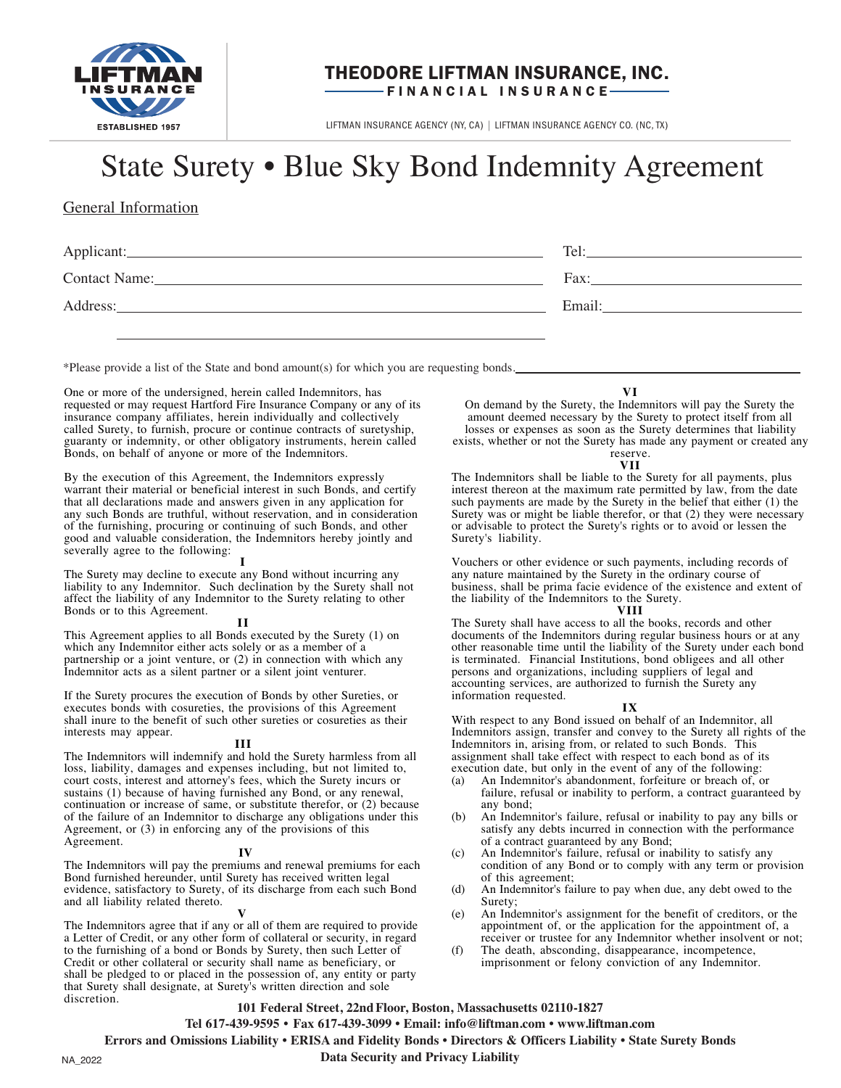

# THEODORE LIFTMAN INSURANCE, INC. FINANCIAL INSURANCE-

LIFTMAN INSURANCE AGENCY (NY, CA) | LIFTMAN INSURANCE AGENCY CO. (NC, TX)

# State Surety • Blue Sky Bond Indemnity Agreement

# General Information

| Applicant:    | Tel:   |
|---------------|--------|
| Contact Name: | Fax:   |
| Address:      | Email: |
|               |        |

\*Please provide a list of the State and bond amount(s) for which you are requesting bonds.

One or more of the undersigned, herein called Indemnitors, has requested or may request Hartford Fire Insurance Company or any of its insurance company affiliates, herein individually and collectively called Surety, to furnish, procure or continue contracts of suretyship, guaranty or indemnity, or other obligatory instruments, herein called Bonds, on behalf of anyone or more of the Indemnitors.

By the execution of this Agreement, the Indemnitors expressly warrant their material or beneficial interest in such Bonds, and certify that all declarations made and answers given in any application for any such Bonds are truthful, without reservation, and in consideration of the furnishing, procuring or continuing of such Bonds, and other good and valuable consideration, the Indemnitors hereby jointly and severally agree to the following:

The Surety may decline to execute any Bond without incurring any liability to any Indemnitor. Such declination by the Surety shall not affect the liability of any Indemnitor to the Surety relating to other Bonds or to this Agreement.

### Н

This Agreement applies to all Bonds executed by the Surety (1) on which any Indemnitor either acts solely or as a member of a partnership or a joint venture, or (2) in connection with which any Indemnitor acts as a silent partner or a silent joint venturer.

If the Surety procures the execution of Bonds by other Sureties, or executes bonds with cosureties, the provisions of this Agreement shall inure to the benefit of such other sureties or cosureties as their interests may appear.

### Ш

The Indemnitors will indemnify and hold the Surety harmless from all loss, liability, damages and expenses including, but not limited to, court costs, interest and attorney's fees, which the Surety incurs or sustains (1) because of having furnished any Bond, or any renewal, continuation or increase of same, or substitute therefor, or (2) because of the failure of an Indemnitor to discharge any obligations under this Agreement, or (3) in enforcing any of the provisions of this Agreement.

# IV

The Indemnitors will pay the premiums and renewal premiums for each Bond furnished hereunder, until Surety has received written legal evidence, satisfactory to Surety, of its discharge from each such Bond and all liability related thereto.

The Indemnitors agree that if any or all of them are required to provide a Letter of Credit, or any other form of collateral or security, in regard to the furnishing of a bond or Bonds by Surety, then such Letter of Credit or other collateral or security shall name as beneficiary, or shall be pledged to or placed in the possession of, any entity or party that Surety shall designate, at Surety's written direction and sole discretion.

# VI

On demand by the Surety, the Indemnitors will pay the Surety the amount deemed necessary by the Surety to protect itself from all losses or expenses as soon as the Surety determines that liability exists, whether or not the Surety has made any payment or created any

#### reserve. VII

The Indemnitors shall be liable to the Surety for all payments, plus interest thereon at the maximum rate permitted by law, from the date such payments are made by the Surety in the belief that either (1) the Surety was or might be liable therefor, or that (2) they were necessary or advisable to protect the Surety's rights or to avoid or lessen the Surety's liability.

Vouchers or other evidence or such payments, including records of any nature maintained by the Surety in the ordinary course of business, shall be prima facie evidence of the existence and extent of the liability of the Indemnitors to the Surety.

## **VIII**

The Surety shall have access to all the books, records and other documents of the Indemnitors during regular business hours or at any other reasonable time until the liability of the Surety under each bond is terminated. Financial Institutions, bond obligees and all other persons and organizations, including suppliers of legal and accounting services, are authorized to furnish the Surety any information requested.

### $IX$

With respect to any Bond issued on behalf of an Indemnitor, all Indemnitors assign, transfer and convey to the Surety all rights of the Indemnitors in, arising from, or related to such Bonds. This assignment shall take effect with respect to each bond as of its execution date, but only in the event of any of the following:

- An Indemnitor's abandonment, forfeiture or breach of, or  $(a)$ failure, refusal or inability to perform, a contract guaranteed by any bond;
- An Indemnitor's failure, refusal or inability to pay any bills or (b) satisfy any debts incurred in connection with the performance of a contract guaranteed by any Bond;
- An Indemnitor's failure, refusal or inability to satisfy any  $(c)$ condition of any Bond or to comply with any term or provision of this agreement;
- $(d)$ An Indemnitor's failure to pay when due, any debt owed to the Surety;
- An Indemnitor's assignment for the benefit of creditors, or the  $(e)$ appointment of, or the application for the appointment of, a receiver or trustee for any Indemnitor whether insolvent or not;
- $(f)$ The death, absconding, disappearance, incompetence, imprisonment or felony conviction of any Indemnitor.

# 101 Federal Street, 22nd Floor, Boston, Massachusetts 02110-1827

Tel 617-439-9595 • Fax 617-439-3099 • Email: info@liftman.com • www.liftman.com

Errors and Omissions Liability • ERISA and Fidelity Bonds • Directors & Officers Liability • State Surety Bonds

**Data Security and Privacy Liability**